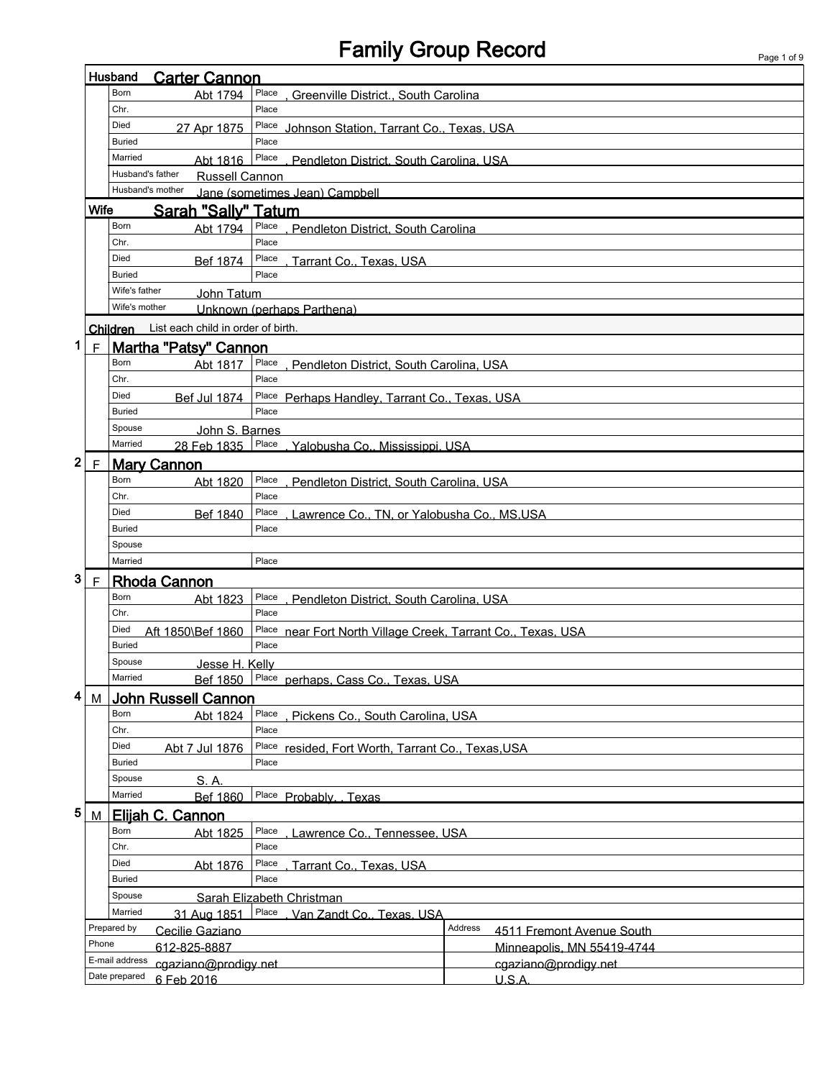# Family Group Record

|                             |             | <b>Carter Cannon</b><br>Husband                                       |                                                      |                                                        |  |  |  |  |  |  |  |
|-----------------------------|-------------|-----------------------------------------------------------------------|------------------------------------------------------|--------------------------------------------------------|--|--|--|--|--|--|--|
|                             |             | Born<br>Abt 1794                                                      | Place<br>, Greenville District., South Carolina      |                                                        |  |  |  |  |  |  |  |
|                             |             | Chr.                                                                  | Place                                                |                                                        |  |  |  |  |  |  |  |
|                             |             | Died<br>Place Johnson Station, Tarrant Co., Texas, USA<br>27 Apr 1875 |                                                      |                                                        |  |  |  |  |  |  |  |
|                             |             | <b>Buried</b><br>Place                                                |                                                      |                                                        |  |  |  |  |  |  |  |
|                             |             | Married<br>Abt 1816                                                   | Place<br>Pendleton District, South Carolina, USA     |                                                        |  |  |  |  |  |  |  |
|                             |             | Husband's father                                                      | <b>Russell Cannon</b>                                |                                                        |  |  |  |  |  |  |  |
|                             |             | Husband's mother<br>Jane (sometimes Jean) Campbell                    |                                                      |                                                        |  |  |  |  |  |  |  |
|                             | <b>Wife</b> | Sarah "Sally" Tatum                                                   |                                                      |                                                        |  |  |  |  |  |  |  |
|                             |             | Born<br>Abt 1794                                                      | Place<br>, Pendleton District, South Carolina        |                                                        |  |  |  |  |  |  |  |
|                             |             | Chr.                                                                  | Place                                                |                                                        |  |  |  |  |  |  |  |
|                             |             | Died<br>Bef 1874                                                      | Place<br>. Tarrant Co., Texas, USA                   |                                                        |  |  |  |  |  |  |  |
|                             |             | <b>Buried</b>                                                         | Place                                                |                                                        |  |  |  |  |  |  |  |
|                             |             | Wife's father                                                         |                                                      |                                                        |  |  |  |  |  |  |  |
|                             |             | John Tatum<br>Wife's mother                                           |                                                      |                                                        |  |  |  |  |  |  |  |
|                             |             |                                                                       | Unknown (perhaps Parthena)                           |                                                        |  |  |  |  |  |  |  |
|                             |             | List each child in order of birth.<br>Children                        |                                                      |                                                        |  |  |  |  |  |  |  |
| 1                           | F           | <b>Martha "Patsy" Cannon</b>                                          |                                                      |                                                        |  |  |  |  |  |  |  |
|                             |             | Born<br>Abt 1817                                                      | Place<br>, Pendleton District, South Carolina, USA   |                                                        |  |  |  |  |  |  |  |
|                             |             | Chr.                                                                  | Place                                                |                                                        |  |  |  |  |  |  |  |
|                             |             | Died<br>Bef Jul 1874                                                  | Place Perhaps Handley, Tarrant Co., Texas, USA       |                                                        |  |  |  |  |  |  |  |
|                             |             | Buried                                                                | Place                                                |                                                        |  |  |  |  |  |  |  |
|                             |             | Spouse<br>John S. Barnes                                              |                                                      |                                                        |  |  |  |  |  |  |  |
|                             |             | Married<br>28 Feb 1835                                                | Place<br>. Yalobusha Co., Mississippi, USA           |                                                        |  |  |  |  |  |  |  |
| $\boldsymbol{2}$            | $\mathsf F$ | <b>Mary Cannon</b>                                                    |                                                      |                                                        |  |  |  |  |  |  |  |
|                             |             | Born<br>Abt 1820                                                      | Place<br>. Pendleton District. South Carolina, USA   |                                                        |  |  |  |  |  |  |  |
|                             |             | Chr.                                                                  | Place                                                |                                                        |  |  |  |  |  |  |  |
|                             |             | Died<br>Bef 1840                                                      | Place<br>Lawrence Co., TN, or Yalobusha Co., MS,USA  |                                                        |  |  |  |  |  |  |  |
|                             |             | <b>Buried</b>                                                         | Place                                                |                                                        |  |  |  |  |  |  |  |
|                             |             | Spouse                                                                |                                                      |                                                        |  |  |  |  |  |  |  |
|                             |             | Married                                                               | Place                                                |                                                        |  |  |  |  |  |  |  |
| 3                           | $\mathsf F$ | <b>Rhoda Cannon</b>                                                   |                                                      |                                                        |  |  |  |  |  |  |  |
|                             |             | Born<br>Abt 1823                                                      | Place<br>Pendleton District, South Carolina, USA     |                                                        |  |  |  |  |  |  |  |
|                             |             | Chr.                                                                  | Place                                                |                                                        |  |  |  |  |  |  |  |
|                             |             | Died<br>Aft 1850\Bef 1860                                             | Place                                                | near Fort North Village Creek, Tarrant Co., Texas, USA |  |  |  |  |  |  |  |
|                             |             | <b>Buried</b>                                                         | Place                                                |                                                        |  |  |  |  |  |  |  |
|                             |             | Spouse                                                                |                                                      |                                                        |  |  |  |  |  |  |  |
|                             |             | Jesse H. Kelly<br>Married                                             | Bef 1850 Place perhaps, Cass Co., Texas, USA         |                                                        |  |  |  |  |  |  |  |
|                             |             |                                                                       |                                                      |                                                        |  |  |  |  |  |  |  |
| 4                           | М           | <b>John Russell Cannon</b><br>Born                                    |                                                      |                                                        |  |  |  |  |  |  |  |
|                             |             | Abt 1824                                                              | Place<br>, Pickens Co., South Carolina, USA<br>Place |                                                        |  |  |  |  |  |  |  |
|                             |             | Chr.                                                                  |                                                      |                                                        |  |  |  |  |  |  |  |
|                             |             | Died<br>Abt 7 Jul 1876                                                |                                                      | Place resided, Fort Worth, Tarrant Co., Texas, USA     |  |  |  |  |  |  |  |
|                             |             | <b>Buried</b>                                                         | Place                                                |                                                        |  |  |  |  |  |  |  |
|                             |             | Spouse<br>S. A.                                                       |                                                      |                                                        |  |  |  |  |  |  |  |
|                             |             | Married<br><b>Bef 1860</b>                                            | Place Probably. Texas                                |                                                        |  |  |  |  |  |  |  |
| 5                           | M           | Elijah C. Cannon                                                      |                                                      |                                                        |  |  |  |  |  |  |  |
|                             |             | Born<br>Abt 1825                                                      | Place                                                | Lawrence Co., Tennessee, USA                           |  |  |  |  |  |  |  |
|                             |             | Chr.                                                                  | Place                                                |                                                        |  |  |  |  |  |  |  |
|                             |             | Died<br>Abt 1876                                                      | Place<br>Tarrant Co., Texas, USA                     |                                                        |  |  |  |  |  |  |  |
|                             |             | Buried                                                                | Place                                                |                                                        |  |  |  |  |  |  |  |
|                             |             | Spouse                                                                | Sarah Elizabeth Christman                            |                                                        |  |  |  |  |  |  |  |
|                             |             | Married<br>31 Aug 1851                                                | Place<br>Van Zandt Co., Texas, USA                   |                                                        |  |  |  |  |  |  |  |
|                             |             | Prepared by<br>Cecilie Gaziano                                        |                                                      | Address<br>4511 Fremont Avenue South                   |  |  |  |  |  |  |  |
|                             | Phone       | 612-825-8887                                                          |                                                      | Minneapolis, MN 55419-4744                             |  |  |  |  |  |  |  |
|                             |             | E-mail address<br>cgaziano@prodigy.net                                |                                                      | cgaziano@prodigy.net                                   |  |  |  |  |  |  |  |
| Date prepared<br>6 Feb 2016 |             |                                                                       |                                                      | U.S.A.                                                 |  |  |  |  |  |  |  |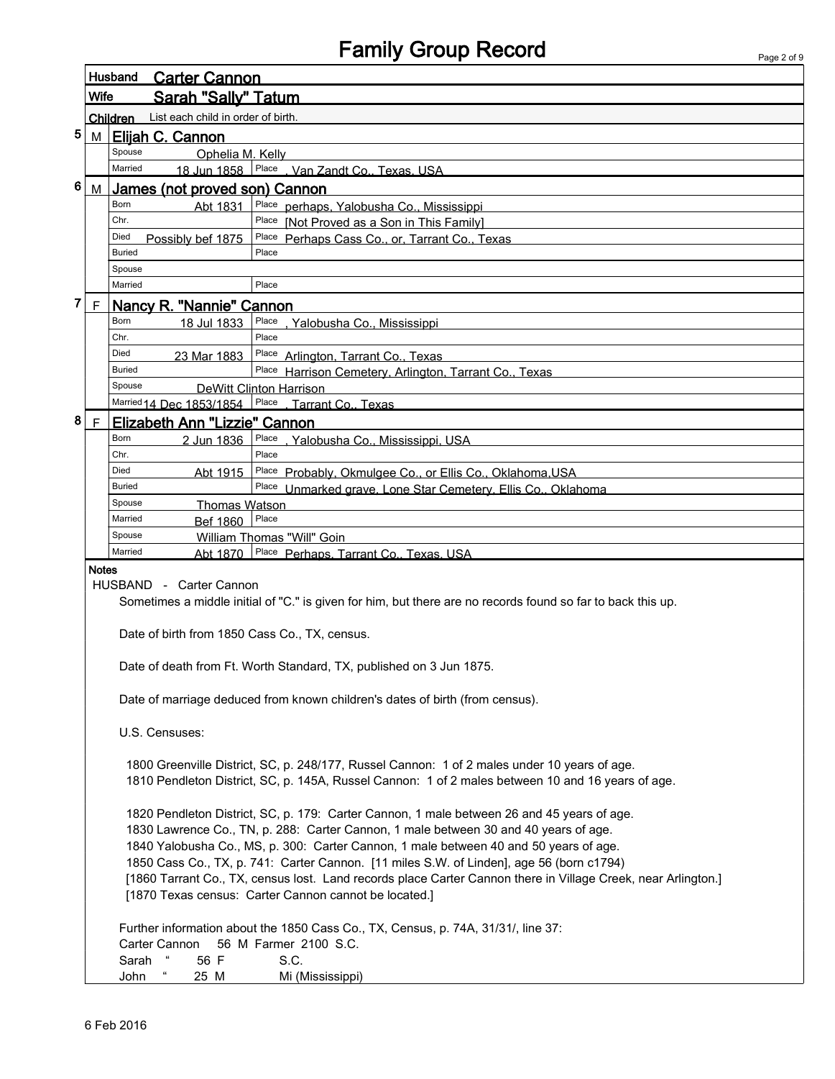| Page 2 of 9 |  |  |
|-------------|--|--|

|   |                                                                                                             | Husband<br><b>Carter Cannon</b>                 |                                                                                                                            |  |  |  |  |  |  |  |
|---|-------------------------------------------------------------------------------------------------------------|-------------------------------------------------|----------------------------------------------------------------------------------------------------------------------------|--|--|--|--|--|--|--|
|   | Wife                                                                                                        | <b>Sarah "Sally" Tatum</b>                      |                                                                                                                            |  |  |  |  |  |  |  |
|   |                                                                                                             | List each child in order of birth.<br>Children  |                                                                                                                            |  |  |  |  |  |  |  |
| 5 | M                                                                                                           | Elijah C. Cannon                                |                                                                                                                            |  |  |  |  |  |  |  |
|   | Spouse<br>Ophelia M. Kelly                                                                                  |                                                 |                                                                                                                            |  |  |  |  |  |  |  |
|   |                                                                                                             | Married                                         | 18 Jun 1858 Place . Van Zandt Co., Texas, USA                                                                              |  |  |  |  |  |  |  |
| 6 | М                                                                                                           | James (not proved son) Cannon                   |                                                                                                                            |  |  |  |  |  |  |  |
|   |                                                                                                             | Born<br>Abt 1831                                | Place perhaps, Yalobusha Co., Mississippi                                                                                  |  |  |  |  |  |  |  |
|   |                                                                                                             | Chr.                                            | Place [Not Proved as a Son in This Family]                                                                                 |  |  |  |  |  |  |  |
|   |                                                                                                             | Died<br>Possibly bef 1875                       | Place Perhaps Cass Co., or, Tarrant Co., Texas                                                                             |  |  |  |  |  |  |  |
|   |                                                                                                             | <b>Buried</b>                                   | Place                                                                                                                      |  |  |  |  |  |  |  |
|   |                                                                                                             | Spouse<br>Married                               | Place                                                                                                                      |  |  |  |  |  |  |  |
| 7 | $\mathsf F$                                                                                                 |                                                 |                                                                                                                            |  |  |  |  |  |  |  |
|   |                                                                                                             | Nancy R. "Nannie" Cannon<br>Born<br>18 Jul 1833 | Place                                                                                                                      |  |  |  |  |  |  |  |
|   |                                                                                                             | Chr.                                            | <u>, Yalobusha Co., Mississippi</u><br>Place                                                                               |  |  |  |  |  |  |  |
|   |                                                                                                             | Died<br>23 Mar 1883                             | Place Arlington, Tarrant Co., Texas                                                                                        |  |  |  |  |  |  |  |
|   |                                                                                                             | Buried                                          | Place Harrison Cemetery, Arlington, Tarrant Co., Texas                                                                     |  |  |  |  |  |  |  |
|   |                                                                                                             | Spouse                                          | <b>DeWitt Clinton Harrison</b>                                                                                             |  |  |  |  |  |  |  |
|   |                                                                                                             | Married 14 Dec 1853/1854                        | Place Tarrant Co., Texas                                                                                                   |  |  |  |  |  |  |  |
| 8 | $\mathsf F$                                                                                                 | Elizabeth Ann "Lizzie" Cannon                   |                                                                                                                            |  |  |  |  |  |  |  |
|   |                                                                                                             | Born<br>2 Jun 1836                              | Place, Yalobusha Co., Mississippi, USA                                                                                     |  |  |  |  |  |  |  |
|   |                                                                                                             | Chr.<br>Died                                    | Place                                                                                                                      |  |  |  |  |  |  |  |
|   |                                                                                                             | Abt 1915<br>Buried                              | Place Probably, Okmulgee Co., or Ellis Co., Oklahoma, USA<br>Place Unmarked grave, Lone Star Cemetery, Ellis Co., Oklahoma |  |  |  |  |  |  |  |
|   |                                                                                                             | Spouse                                          |                                                                                                                            |  |  |  |  |  |  |  |
|   | <b>Thomas Watson</b><br>Place<br>Married<br><b>Bef 1860</b>                                                 |                                                 |                                                                                                                            |  |  |  |  |  |  |  |
|   | Spouse<br>William Thomas "Will" Goin                                                                        |                                                 |                                                                                                                            |  |  |  |  |  |  |  |
|   |                                                                                                             | Married<br>Abt 1870                             | Place Perhaps. Tarrant Co., Texas. USA                                                                                     |  |  |  |  |  |  |  |
|   | <b>Notes</b>                                                                                                |                                                 |                                                                                                                            |  |  |  |  |  |  |  |
|   | HUSBAND - Carter Cannon                                                                                     |                                                 |                                                                                                                            |  |  |  |  |  |  |  |
|   | Sometimes a middle initial of "C." is given for him, but there are no records found so far to back this up. |                                                 |                                                                                                                            |  |  |  |  |  |  |  |
|   |                                                                                                             | Date of birth from 1850 Cass Co., TX, census.   |                                                                                                                            |  |  |  |  |  |  |  |
|   |                                                                                                             |                                                 |                                                                                                                            |  |  |  |  |  |  |  |
|   |                                                                                                             |                                                 | Date of death from Ft. Worth Standard, TX, published on 3 Jun 1875.                                                        |  |  |  |  |  |  |  |
|   |                                                                                                             |                                                 |                                                                                                                            |  |  |  |  |  |  |  |
|   |                                                                                                             |                                                 | Date of marriage deduced from known children's dates of birth (from census).                                               |  |  |  |  |  |  |  |
|   |                                                                                                             |                                                 |                                                                                                                            |  |  |  |  |  |  |  |
|   |                                                                                                             | U.S. Censuses:                                  |                                                                                                                            |  |  |  |  |  |  |  |
|   |                                                                                                             |                                                 | 1800 Greenville District, SC, p. 248/177, Russel Cannon: 1 of 2 males under 10 years of age.                               |  |  |  |  |  |  |  |
|   |                                                                                                             |                                                 | 1810 Pendleton District, SC, p. 145A, Russel Cannon: 1 of 2 males between 10 and 16 years of age.                          |  |  |  |  |  |  |  |
|   |                                                                                                             |                                                 |                                                                                                                            |  |  |  |  |  |  |  |
|   |                                                                                                             |                                                 | 1820 Pendleton District, SC, p. 179: Carter Cannon, 1 male between 26 and 45 years of age.                                 |  |  |  |  |  |  |  |
|   |                                                                                                             |                                                 | 1830 Lawrence Co., TN, p. 288: Carter Cannon, 1 male between 30 and 40 years of age.                                       |  |  |  |  |  |  |  |
|   |                                                                                                             |                                                 | 1840 Yalobusha Co., MS, p. 300: Carter Cannon, 1 male between 40 and 50 years of age.                                      |  |  |  |  |  |  |  |
|   |                                                                                                             |                                                 | 1850 Cass Co., TX, p. 741: Carter Cannon. [11 miles S.W. of Linden], age 56 (born c1794)                                   |  |  |  |  |  |  |  |
|   |                                                                                                             |                                                 | [1860 Tarrant Co., TX, census lost. Land records place Carter Cannon there in Village Creek, near Arlington.]              |  |  |  |  |  |  |  |
|   |                                                                                                             |                                                 | [1870 Texas census: Carter Cannon cannot be located.]                                                                      |  |  |  |  |  |  |  |
|   |                                                                                                             |                                                 | Further information about the 1850 Cass Co., TX, Census, p. 74A, 31/31/, line 37:                                          |  |  |  |  |  |  |  |
|   |                                                                                                             | Carter Cannon                                   | 56 M Farmer 2100 S.C.                                                                                                      |  |  |  |  |  |  |  |
|   |                                                                                                             | 56 F<br>Sarah                                   | S.C.                                                                                                                       |  |  |  |  |  |  |  |
|   | John<br>25 M<br>Mi (Mississippi)                                                                            |                                                 |                                                                                                                            |  |  |  |  |  |  |  |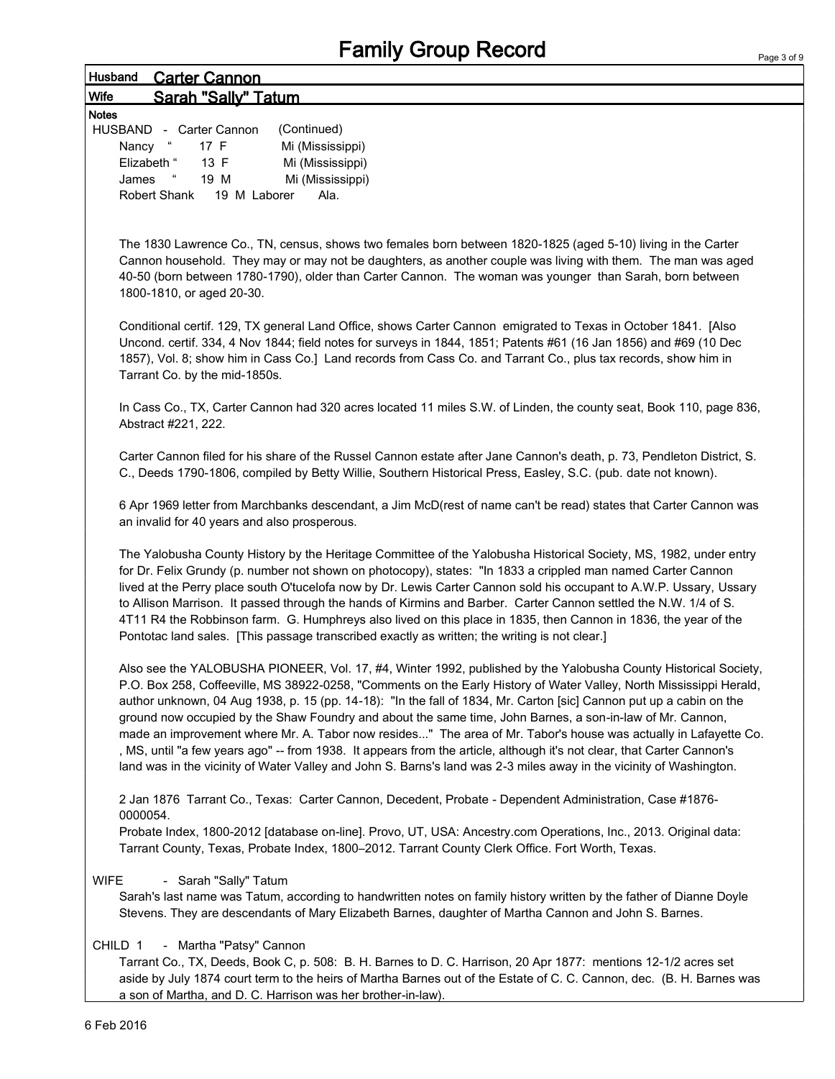### Husband Carter Cannon Wife Sarah "Sally" Tatum

| <b>Notes</b>                |              |                  |
|-----------------------------|--------------|------------------|
| HUSBAND - Carter Cannon     |              | (Continued)      |
| Nancy                       | 17 F         | Mi (Mississippi) |
| Elizabeth "                 | 13 F         | Mi (Mississippi) |
| $\epsilon\epsilon$<br>James | 19 M         | Mi (Mississippi) |
| Robert Shank                | 19 M Laborer | Ala.             |

The 1830 Lawrence Co., TN, census, shows two females born between 1820-1825 (aged 5-10) living in the Carter Cannon household. They may or may not be daughters, as another couple was living with them. The man was aged 40-50 (born between 1780-1790), older than Carter Cannon. The woman was younger than Sarah, born between 1800-1810, or aged 20-30.

Conditional certif. 129, TX general Land Office, shows Carter Cannon emigrated to Texas in October 1841. [Also Uncond. certif. 334, 4 Nov 1844; field notes for surveys in 1844, 1851; Patents #61 (16 Jan 1856) and #69 (10 Dec 1857), Vol. 8; show him in Cass Co.] Land records from Cass Co. and Tarrant Co., plus tax records, show him in Tarrant Co. by the mid-1850s.

In Cass Co., TX, Carter Cannon had 320 acres located 11 miles S.W. of Linden, the county seat, Book 110, page 836, Abstract #221, 222.

Carter Cannon filed for his share of the Russel Cannon estate after Jane Cannon's death, p. 73, Pendleton District, S. C., Deeds 1790-1806, compiled by Betty Willie, Southern Historical Press, Easley, S.C. (pub. date not known).

6 Apr 1969 letter from Marchbanks descendant, a Jim McD(rest of name can't be read) states that Carter Cannon was an invalid for 40 years and also prosperous.

The Yalobusha County History by the Heritage Committee of the Yalobusha Historical Society, MS, 1982, under entry for Dr. Felix Grundy (p. number not shown on photocopy), states: "In 1833 a crippled man named Carter Cannon lived at the Perry place south O'tucelofa now by Dr. Lewis Carter Cannon sold his occupant to A.W.P. Ussary, Ussary to Allison Marrison. It passed through the hands of Kirmins and Barber. Carter Cannon settled the N.W. 1/4 of S. 4T11 R4 the Robbinson farm. G. Humphreys also lived on this place in 1835, then Cannon in 1836, the year of the Pontotac land sales. [This passage transcribed exactly as written; the writing is not clear.]

Also see the YALOBUSHA PIONEER, Vol. 17, #4, Winter 1992, published by the Yalobusha County Historical Society, P.O. Box 258, Coffeeville, MS 38922-0258, "Comments on the Early History of Water Valley, North Mississippi Herald, author unknown, 04 Aug 1938, p. 15 (pp. 14-18): "In the fall of 1834, Mr. Carton [sic] Cannon put up a cabin on the ground now occupied by the Shaw Foundry and about the same time, John Barnes, a son-in-law of Mr. Cannon, made an improvement where Mr. A. Tabor now resides..." The area of Mr. Tabor's house was actually in Lafayette Co. , MS, until "a few years ago" -- from 1938. It appears from the article, although it's not clear, that Carter Cannon's land was in the vicinity of Water Valley and John S. Barns's land was 2-3 miles away in the vicinity of Washington.

2 Jan 1876 Tarrant Co., Texas: Carter Cannon, Decedent, Probate - Dependent Administration, Case #1876- 0000054.

Probate Index, 1800-2012 [database on-line]. Provo, UT, USA: Ancestry.com Operations, Inc., 2013. Original data: Tarrant County, Texas, Probate Index, 1800–2012. Tarrant County Clerk Office. Fort Worth, Texas.

#### WIFE - Sarah "Sally" Tatum

Sarah's last name was Tatum, according to handwritten notes on family history written by the father of Dianne Doyle Stevens. They are descendants of Mary Elizabeth Barnes, daughter of Martha Cannon and John S. Barnes.

#### CHILD 1 - Martha "Patsy" Cannon

Tarrant Co., TX, Deeds, Book C, p. 508: B. H. Barnes to D. C. Harrison, 20 Apr 1877: mentions 12-1/2 acres set aside by July 1874 court term to the heirs of Martha Barnes out of the Estate of C. C. Cannon, dec. (B. H. Barnes was a son of Martha, and D. C. Harrison was her brother-in-law).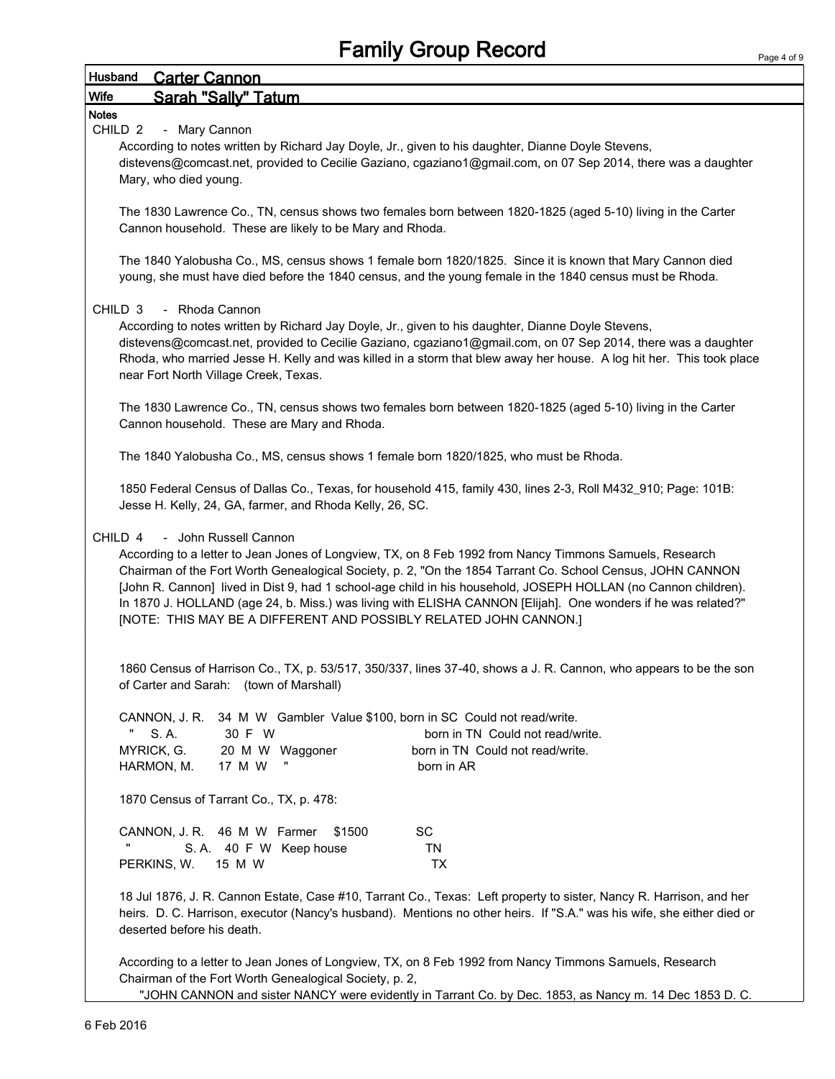### Husband Carter Cannon Wife Sarah "Sally" Tatum

#### **Notes**

#### CHILD 2 - Mary Cannon

According to notes written by Richard Jay Doyle, Jr., given to his daughter, Dianne Doyle Stevens, distevens@comcast.net, provided to Cecilie Gaziano, cgaziano1@gmail.com, on 07 Sep 2014, there was a daughter Mary, who died young.

The 1830 Lawrence Co., TN, census shows two females born between 1820-1825 (aged 5-10) living in the Carter Cannon household. These are likely to be Mary and Rhoda.

The 1840 Yalobusha Co., MS, census shows 1 female born 1820/1825. Since it is known that Mary Cannon died young, she must have died before the 1840 census, and the young female in the 1840 census must be Rhoda.

#### CHILD 3 - Rhoda Cannon

According to notes written by Richard Jay Doyle, Jr., given to his daughter, Dianne Doyle Stevens, distevens@comcast.net, provided to Cecilie Gaziano, cgaziano1@gmail.com, on 07 Sep 2014, there was a daughter Rhoda, who married Jesse H. Kelly and was killed in a storm that blew away her house. A log hit her. This took place near Fort North Village Creek, Texas.

The 1830 Lawrence Co., TN, census shows two females born between 1820-1825 (aged 5-10) living in the Carter Cannon household. These are Mary and Rhoda.

The 1840 Yalobusha Co., MS, census shows 1 female born 1820/1825, who must be Rhoda.

1850 Federal Census of Dallas Co., Texas, for household 415, family 430, lines 2-3, Roll M432\_910; Page: 101B: Jesse H. Kelly, 24, GA, farmer, and Rhoda Kelly, 26, SC.

#### CHILD 4 - John Russell Cannon

According to a letter to Jean Jones of Longview, TX, on 8 Feb 1992 from Nancy Timmons Samuels, Research Chairman of the Fort Worth Genealogical Society, p. 2, "On the 1854 Tarrant Co. School Census, JOHN CANNON [John R. Cannon] lived in Dist 9, had 1 school-age child in his household, JOSEPH HOLLAN (no Cannon children). In 1870 J. HOLLAND (age 24, b. Miss.) was living with ELISHA CANNON [Elijah]. One wonders if he was related?" [NOTE: THIS MAY BE A DIFFERENT AND POSSIBLY RELATED JOHN CANNON.]

1860 Census of Harrison Co., TX, p. 53/517, 350/337, lines 37-40, shows a J. R. Cannon, who appears to be the son of Carter and Sarah: (town of Marshall)

|                                         |        |                        | CANNON, J. R. 34 M W Gambler Value \$100, born in SC Could not read/write. |
|-----------------------------------------|--------|------------------------|----------------------------------------------------------------------------|
| л,<br>S. A.                             | 30 F W |                        | born in TN Could not read/write.                                           |
| MYRICK, G. 20 M W Waggoner              |        |                        | born in TN Could not read/write.                                           |
| HARMON, M.                              | 17 M W | π                      | born in AR                                                                 |
|                                         |        |                        |                                                                            |
| 1870 Census of Tarrant Co., TX, p. 478: |        |                        |                                                                            |
|                                         |        |                        |                                                                            |
| CANNON, J. R. 46 M W Farmer             |        | \$1500                 | SC.                                                                        |
|                                         |        | S.A. 40 F W Keep house | ΤN                                                                         |
| PERKINS, W. 15 M W                      |        |                        | ТX                                                                         |

18 Jul 1876, J. R. Cannon Estate, Case #10, Tarrant Co., Texas: Left property to sister, Nancy R. Harrison, and her heirs. D. C. Harrison, executor (Nancy's husband). Mentions no other heirs. If "S.A." was his wife, she either died or deserted before his death.

According to a letter to Jean Jones of Longview, TX, on 8 Feb 1992 from Nancy Timmons Samuels, Research Chairman of the Fort Worth Genealogical Society, p. 2, "JOHN CANNON and sister NANCY were evidently in Tarrant Co. by Dec. 1853, as Nancy m. 14 Dec 1853 D. C.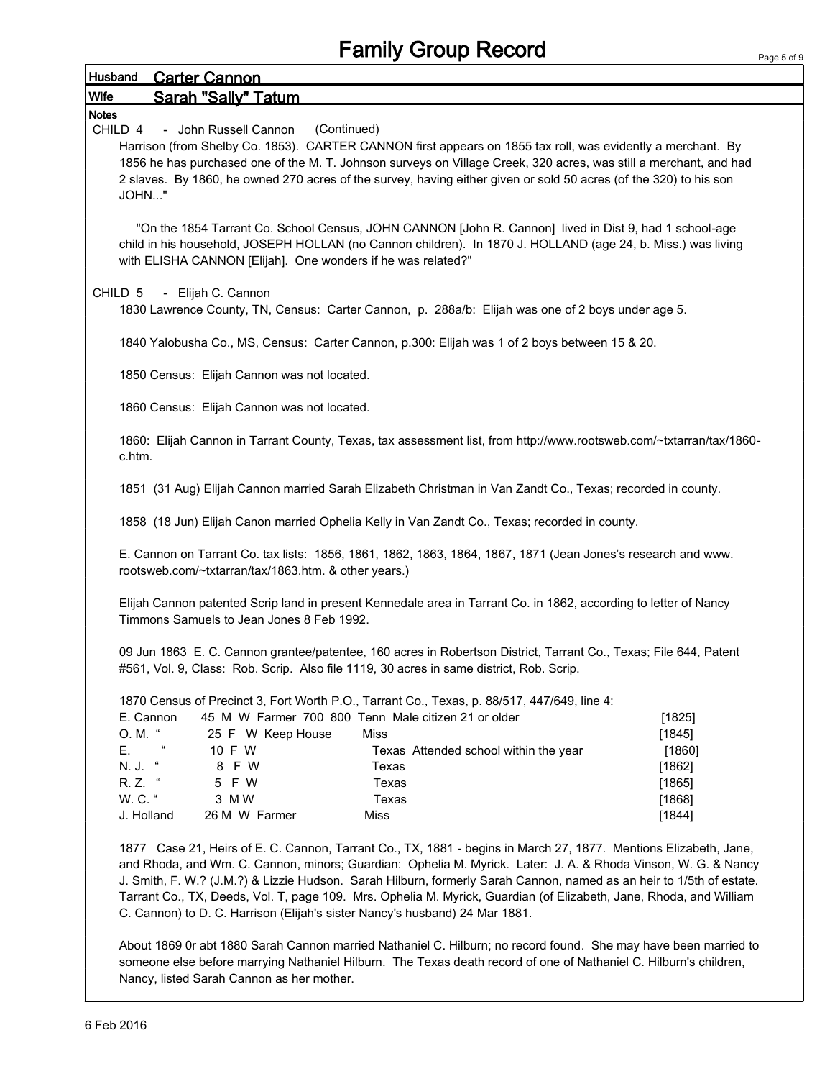|                                                                                                                                                                                                             |                                                                                                            | <b>Family Group Record</b>                                                                                                                                                                                                                                                                                                                            |        |  |  |  |  |
|-------------------------------------------------------------------------------------------------------------------------------------------------------------------------------------------------------------|------------------------------------------------------------------------------------------------------------|-------------------------------------------------------------------------------------------------------------------------------------------------------------------------------------------------------------------------------------------------------------------------------------------------------------------------------------------------------|--------|--|--|--|--|
| Husband                                                                                                                                                                                                     | <b>Carter Cannon</b>                                                                                       |                                                                                                                                                                                                                                                                                                                                                       |        |  |  |  |  |
| Wife                                                                                                                                                                                                        | Sarah "Sally" Tatum                                                                                        |                                                                                                                                                                                                                                                                                                                                                       |        |  |  |  |  |
| <b>Notes</b>                                                                                                                                                                                                |                                                                                                            |                                                                                                                                                                                                                                                                                                                                                       |        |  |  |  |  |
| CHILD 4                                                                                                                                                                                                     | (Continued)<br>- John Russell Cannon                                                                       |                                                                                                                                                                                                                                                                                                                                                       |        |  |  |  |  |
| JOHN"                                                                                                                                                                                                       |                                                                                                            | Harrison (from Shelby Co. 1853). CARTER CANNON first appears on 1855 tax roll, was evidently a merchant. By<br>1856 he has purchased one of the M. T. Johnson surveys on Village Creek, 320 acres, was still a merchant, and had<br>2 slaves. By 1860, he owned 270 acres of the survey, having either given or sold 50 acres (of the 320) to his son |        |  |  |  |  |
|                                                                                                                                                                                                             | with ELISHA CANNON [Elijah]. One wonders if he was related?"                                               | "On the 1854 Tarrant Co. School Census, JOHN CANNON [John R. Cannon] lived in Dist 9, had 1 school-age<br>child in his household, JOSEPH HOLLAN (no Cannon children). In 1870 J. HOLLAND (age 24, b. Miss.) was living                                                                                                                                |        |  |  |  |  |
| CHILD <sub>5</sub>                                                                                                                                                                                          | - Elijah C. Cannon                                                                                         |                                                                                                                                                                                                                                                                                                                                                       |        |  |  |  |  |
|                                                                                                                                                                                                             |                                                                                                            | 1830 Lawrence County, TN, Census: Carter Cannon, p. 288a/b: Elijah was one of 2 boys under age 5.                                                                                                                                                                                                                                                     |        |  |  |  |  |
|                                                                                                                                                                                                             |                                                                                                            | 1840 Yalobusha Co., MS, Census: Carter Cannon, p.300: Elijah was 1 of 2 boys between 15 & 20.                                                                                                                                                                                                                                                         |        |  |  |  |  |
|                                                                                                                                                                                                             | 1850 Census: Elijah Cannon was not located.                                                                |                                                                                                                                                                                                                                                                                                                                                       |        |  |  |  |  |
|                                                                                                                                                                                                             | 1860 Census: Elijah Cannon was not located.                                                                |                                                                                                                                                                                                                                                                                                                                                       |        |  |  |  |  |
| c.htm.                                                                                                                                                                                                      |                                                                                                            | 1860: Elijah Cannon in Tarrant County, Texas, tax assessment list, from http://www.rootsweb.com/~txtarran/tax/1860-                                                                                                                                                                                                                                   |        |  |  |  |  |
|                                                                                                                                                                                                             | 1851 (31 Aug) Elijah Cannon married Sarah Elizabeth Christman in Van Zandt Co., Texas; recorded in county. |                                                                                                                                                                                                                                                                                                                                                       |        |  |  |  |  |
|                                                                                                                                                                                                             | 1858 (18 Jun) Elijah Canon married Ophelia Kelly in Van Zandt Co., Texas; recorded in county.              |                                                                                                                                                                                                                                                                                                                                                       |        |  |  |  |  |
|                                                                                                                                                                                                             | rootsweb.com/~txtarran/tax/1863.htm. & other years.)                                                       | E. Cannon on Tarrant Co. tax lists: 1856, 1861, 1862, 1863, 1864, 1867, 1871 (Jean Jones's research and www.                                                                                                                                                                                                                                          |        |  |  |  |  |
|                                                                                                                                                                                                             | Timmons Samuels to Jean Jones 8 Feb 1992.                                                                  | Elijah Cannon patented Scrip land in present Kennedale area in Tarrant Co. in 1862, according to letter of Nancy                                                                                                                                                                                                                                      |        |  |  |  |  |
| 09 Jun 1863 E. C. Cannon grantee/patentee, 160 acres in Robertson District, Tarrant Co., Texas; File 644, Patent<br>#561, Vol. 9, Class: Rob. Scrip. Also file 1119, 30 acres in same district, Rob. Scrip. |                                                                                                            |                                                                                                                                                                                                                                                                                                                                                       |        |  |  |  |  |
|                                                                                                                                                                                                             |                                                                                                            | 1870 Census of Precinct 3, Fort Worth P.O., Tarrant Co., Texas, p. 88/517, 447/649, line 4:                                                                                                                                                                                                                                                           |        |  |  |  |  |
|                                                                                                                                                                                                             | E. Cannon                                                                                                  | 45 M W Farmer 700 800 Tenn Male citizen 21 or older                                                                                                                                                                                                                                                                                                   | [1825] |  |  |  |  |
| O. M. "                                                                                                                                                                                                     | 25 F W Keep House                                                                                          | Miss                                                                                                                                                                                                                                                                                                                                                  | [1845] |  |  |  |  |
| Е.                                                                                                                                                                                                          | 10 F W                                                                                                     | Texas Attended school within the year                                                                                                                                                                                                                                                                                                                 | [1860] |  |  |  |  |
| N. J.                                                                                                                                                                                                       | 8 F W                                                                                                      | Texas                                                                                                                                                                                                                                                                                                                                                 | [1862] |  |  |  |  |
| R. Z.                                                                                                                                                                                                       | $\epsilon$<br>5 F W                                                                                        | Texas                                                                                                                                                                                                                                                                                                                                                 | [1865] |  |  |  |  |
| W. C. "                                                                                                                                                                                                     | 3 M W                                                                                                      | Texas                                                                                                                                                                                                                                                                                                                                                 | [1868] |  |  |  |  |
| J. Holland                                                                                                                                                                                                  | 26 M W Farmer                                                                                              | Miss                                                                                                                                                                                                                                                                                                                                                  | [1844] |  |  |  |  |
| 1877                                                                                                                                                                                                        |                                                                                                            | Case 21, Heirs of E. C. Cannon, Tarrant Co., TX, 1881 - begins in March 27, 1877. Mentions Elizabeth, Jane,                                                                                                                                                                                                                                           |        |  |  |  |  |

zabeth, Jane, and Rhoda, and Wm. C. Cannon, minors; Guardian: Ophelia M. Myrick. Later: J. A. & Rhoda Vinson, W. G. & Nancy J. Smith, F. W.? (J.M.?) & Lizzie Hudson. Sarah Hilburn, formerly Sarah Cannon, named as an heir to 1/5th of estate. Tarrant Co., TX, Deeds, Vol. T, page 109. Mrs. Ophelia M. Myrick, Guardian (of Elizabeth, Jane, Rhoda, and William C. Cannon) to D. C. Harrison (Elijah's sister Nancy's husband) 24 Mar 1881.

About 1869 0r abt 1880 Sarah Cannon married Nathaniel C. Hilburn; no record found. She may have been married to someone else before marrying Nathaniel Hilburn. The Texas death record of one of Nathaniel C. Hilburn's children, Nancy, listed Sarah Cannon as her mother.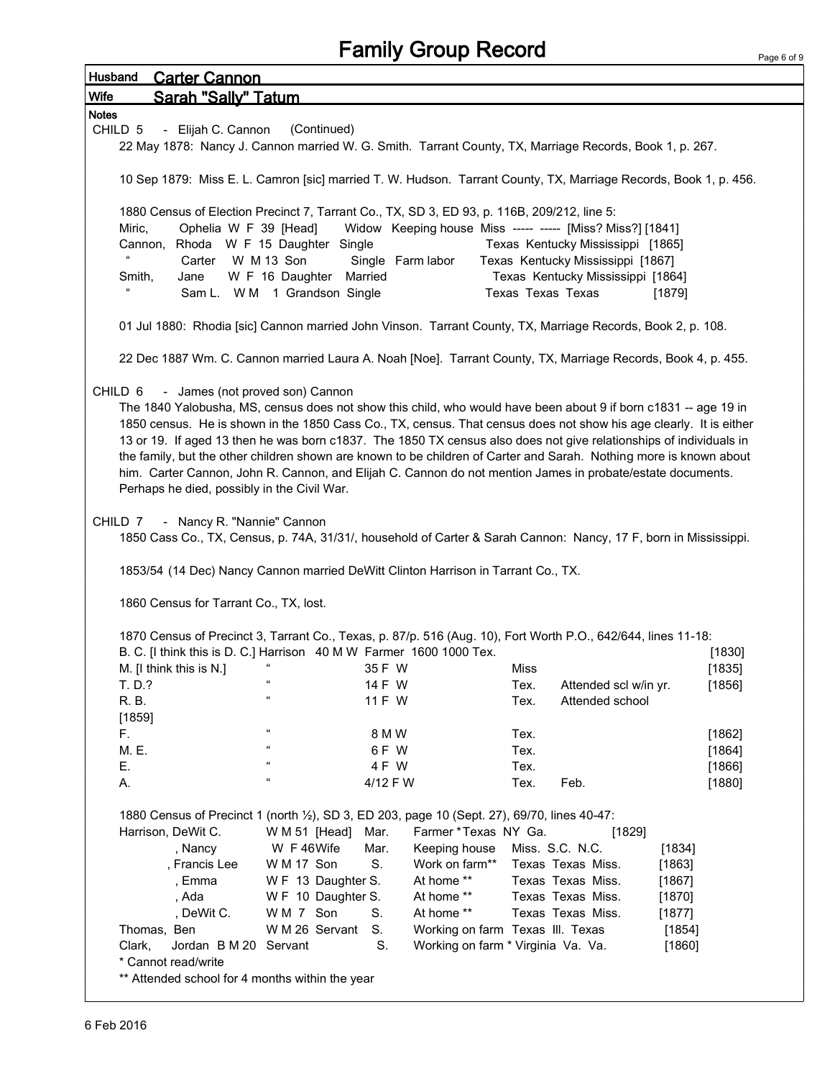| Husband      |                                                                                                                                                                                                                                                                                                                                                                                                                                                                                                                                                                                                                                                                                                                                                                                                                                                                                                                                                | <b>Carter Cannon</b>                                                            |                                                                                                                                                                                                  |                          |                                                                                                   |                   |                                                                                                                  |                                                |        |
|--------------|------------------------------------------------------------------------------------------------------------------------------------------------------------------------------------------------------------------------------------------------------------------------------------------------------------------------------------------------------------------------------------------------------------------------------------------------------------------------------------------------------------------------------------------------------------------------------------------------------------------------------------------------------------------------------------------------------------------------------------------------------------------------------------------------------------------------------------------------------------------------------------------------------------------------------------------------|---------------------------------------------------------------------------------|--------------------------------------------------------------------------------------------------------------------------------------------------------------------------------------------------|--------------------------|---------------------------------------------------------------------------------------------------|-------------------|------------------------------------------------------------------------------------------------------------------|------------------------------------------------|--------|
| Wife         |                                                                                                                                                                                                                                                                                                                                                                                                                                                                                                                                                                                                                                                                                                                                                                                                                                                                                                                                                | <b>Sarah "Sally" Tatum</b>                                                      |                                                                                                                                                                                                  |                          |                                                                                                   |                   |                                                                                                                  |                                                |        |
| <b>Notes</b> |                                                                                                                                                                                                                                                                                                                                                                                                                                                                                                                                                                                                                                                                                                                                                                                                                                                                                                                                                |                                                                                 |                                                                                                                                                                                                  |                          |                                                                                                   |                   |                                                                                                                  |                                                |        |
|              | CHILD 5                                                                                                                                                                                                                                                                                                                                                                                                                                                                                                                                                                                                                                                                                                                                                                                                                                                                                                                                        | - Elijah C. Cannon                                                              | (Continued)                                                                                                                                                                                      |                          |                                                                                                   |                   |                                                                                                                  |                                                |        |
|              |                                                                                                                                                                                                                                                                                                                                                                                                                                                                                                                                                                                                                                                                                                                                                                                                                                                                                                                                                |                                                                                 |                                                                                                                                                                                                  |                          |                                                                                                   |                   | 22 May 1878: Nancy J. Cannon married W. G. Smith. Tarrant County, TX, Marriage Records, Book 1, p. 267.          |                                                |        |
|              |                                                                                                                                                                                                                                                                                                                                                                                                                                                                                                                                                                                                                                                                                                                                                                                                                                                                                                                                                |                                                                                 |                                                                                                                                                                                                  |                          |                                                                                                   |                   | 10 Sep 1879: Miss E. L. Camron [sic] married T. W. Hudson. Tarrant County, TX, Marriage Records, Book 1, p. 456. |                                                |        |
|              |                                                                                                                                                                                                                                                                                                                                                                                                                                                                                                                                                                                                                                                                                                                                                                                                                                                                                                                                                |                                                                                 | 1880 Census of Election Precinct 7, Tarrant Co., TX, SD 3, ED 93, p. 116B, 209/212, line 5:                                                                                                      |                          |                                                                                                   |                   |                                                                                                                  |                                                |        |
|              | Miric,                                                                                                                                                                                                                                                                                                                                                                                                                                                                                                                                                                                                                                                                                                                                                                                                                                                                                                                                         | Ophelia W F 39 [Head]                                                           |                                                                                                                                                                                                  |                          |                                                                                                   |                   | Widow Keeping house Miss ----- ----- [Miss? Miss?] [1841]                                                        |                                                |        |
|              |                                                                                                                                                                                                                                                                                                                                                                                                                                                                                                                                                                                                                                                                                                                                                                                                                                                                                                                                                |                                                                                 | Cannon, Rhoda W F 15 Daughter Single                                                                                                                                                             |                          |                                                                                                   |                   | Texas Kentucky Mississippi [1865]                                                                                |                                                |        |
|              |                                                                                                                                                                                                                                                                                                                                                                                                                                                                                                                                                                                                                                                                                                                                                                                                                                                                                                                                                | Carter                                                                          | W M 13 Son                                                                                                                                                                                       |                          | Single Farm labor                                                                                 |                   | Texas Kentucky Mississippi [1867]                                                                                |                                                |        |
|              | Smith,                                                                                                                                                                                                                                                                                                                                                                                                                                                                                                                                                                                                                                                                                                                                                                                                                                                                                                                                         | Jane                                                                            | W F 16 Daughter Married                                                                                                                                                                          |                          |                                                                                                   |                   | Texas Kentucky Mississippi [1864]                                                                                |                                                |        |
|              |                                                                                                                                                                                                                                                                                                                                                                                                                                                                                                                                                                                                                                                                                                                                                                                                                                                                                                                                                |                                                                                 | Sam L. W M 1 Grandson Single                                                                                                                                                                     |                          |                                                                                                   | Texas Texas Texas |                                                                                                                  | $[1879]$                                       |        |
|              |                                                                                                                                                                                                                                                                                                                                                                                                                                                                                                                                                                                                                                                                                                                                                                                                                                                                                                                                                |                                                                                 |                                                                                                                                                                                                  |                          |                                                                                                   |                   | 01 Jul 1880: Rhodia [sic] Cannon married John Vinson. Tarrant County, TX, Marriage Records, Book 2, p. 108.      |                                                |        |
|              |                                                                                                                                                                                                                                                                                                                                                                                                                                                                                                                                                                                                                                                                                                                                                                                                                                                                                                                                                |                                                                                 |                                                                                                                                                                                                  |                          |                                                                                                   |                   | 22 Dec 1887 Wm. C. Cannon married Laura A. Noah [Noe]. Tarrant County, TX, Marriage Records, Book 4, p. 455.     |                                                |        |
|              | - James (not proved son) Cannon<br>CHILD 6<br>The 1840 Yalobusha, MS, census does not show this child, who would have been about 9 if born c1831 -- age 19 in<br>1850 census. He is shown in the 1850 Cass Co., TX, census. That census does not show his age clearly. It is either<br>13 or 19. If aged 13 then he was born c1837. The 1850 TX census also does not give relationships of individuals in<br>the family, but the other children shown are known to be children of Carter and Sarah. Nothing more is known about<br>him. Carter Cannon, John R. Cannon, and Elijah C. Cannon do not mention James in probate/estate documents.<br>Perhaps he died, possibly in the Civil War.<br>- Nancy R. "Nannie" Cannon<br>CHILD 7<br>1850 Cass Co., TX, Census, p. 74A, 31/31/, household of Carter & Sarah Cannon: Nancy, 17 F, born in Mississippi.<br>1853/54 (14 Dec) Nancy Cannon married DeWitt Clinton Harrison in Tarrant Co., TX. |                                                                                 |                                                                                                                                                                                                  |                          |                                                                                                   |                   |                                                                                                                  |                                                |        |
|              |                                                                                                                                                                                                                                                                                                                                                                                                                                                                                                                                                                                                                                                                                                                                                                                                                                                                                                                                                | 1860 Census for Tarrant Co., TX, lost.                                          |                                                                                                                                                                                                  |                          |                                                                                                   |                   | 1870 Census of Precinct 3, Tarrant Co., Texas, p. 87/p. 516 (Aug. 10), Fort Worth P.O., 642/644, lines 11-18:    |                                                |        |
|              |                                                                                                                                                                                                                                                                                                                                                                                                                                                                                                                                                                                                                                                                                                                                                                                                                                                                                                                                                |                                                                                 | B. C. [I think this is D. C.] Harrison 40 M W Farmer 1600 1000 Tex.                                                                                                                              |                          |                                                                                                   |                   |                                                                                                                  |                                                | [1830] |
|              |                                                                                                                                                                                                                                                                                                                                                                                                                                                                                                                                                                                                                                                                                                                                                                                                                                                                                                                                                | M. [I think this is N.]                                                         |                                                                                                                                                                                                  | 35 F W                   |                                                                                                   | Miss              |                                                                                                                  |                                                | [1835] |
|              | T. D.?                                                                                                                                                                                                                                                                                                                                                                                                                                                                                                                                                                                                                                                                                                                                                                                                                                                                                                                                         |                                                                                 |                                                                                                                                                                                                  | 14 F W                   |                                                                                                   | Tex.              | Attended scl w/in yr.                                                                                            |                                                | [1856] |
|              | R. B.                                                                                                                                                                                                                                                                                                                                                                                                                                                                                                                                                                                                                                                                                                                                                                                                                                                                                                                                          |                                                                                 | $\mathfrak{c}\mathfrak{c}$                                                                                                                                                                       | 11 F W                   |                                                                                                   | Tex.              | Attended school                                                                                                  |                                                |        |
|              | [1859]                                                                                                                                                                                                                                                                                                                                                                                                                                                                                                                                                                                                                                                                                                                                                                                                                                                                                                                                         |                                                                                 |                                                                                                                                                                                                  |                          |                                                                                                   |                   |                                                                                                                  |                                                |        |
|              | F.                                                                                                                                                                                                                                                                                                                                                                                                                                                                                                                                                                                                                                                                                                                                                                                                                                                                                                                                             |                                                                                 | $\epsilon$                                                                                                                                                                                       | 8 M W                    |                                                                                                   | Tex.              |                                                                                                                  |                                                | [1862] |
|              | M. E.                                                                                                                                                                                                                                                                                                                                                                                                                                                                                                                                                                                                                                                                                                                                                                                                                                                                                                                                          |                                                                                 | $\mathfrak{c}\mathfrak{c}$                                                                                                                                                                       | 6FW                      |                                                                                                   | Tex.              |                                                                                                                  |                                                | [1864] |
|              | Ε.                                                                                                                                                                                                                                                                                                                                                                                                                                                                                                                                                                                                                                                                                                                                                                                                                                                                                                                                             |                                                                                 | $\mathfrak{c}\mathfrak{c}$                                                                                                                                                                       | 4 F W                    |                                                                                                   | Tex.              |                                                                                                                  |                                                | [1866] |
|              | А.                                                                                                                                                                                                                                                                                                                                                                                                                                                                                                                                                                                                                                                                                                                                                                                                                                                                                                                                             |                                                                                 | $\mathfrak{c}\mathfrak{c}$                                                                                                                                                                       | 4/12 F W                 |                                                                                                   | Tex.              | Feb.                                                                                                             |                                                | [1880] |
|              |                                                                                                                                                                                                                                                                                                                                                                                                                                                                                                                                                                                                                                                                                                                                                                                                                                                                                                                                                | Harrison, DeWit C.<br>, Nancy<br>, Francis Lee<br>, Emma<br>, Ada<br>, DeWit C. | 1880 Census of Precinct 1 (north 1/2), SD 3, ED 203, page 10 (Sept. 27), 69/70, lines 40-47:<br>W M 51 [Head]<br>W F 46Wife<br>W M 17 Son<br>WF 13 Daughter S.<br>W F 10 Daughter S.<br>WM 7 Son | Mar.<br>Mar.<br>S.<br>S. | Farmer *Texas NY Ga.<br>Keeping house<br>Work on farm**<br>At home **<br>At home **<br>At home ** |                   | [1829]<br>Miss. S.C. N.C.<br>Texas Texas Miss.<br>Texas Texas Miss.<br>Texas Texas Miss.<br>Texas Texas Miss.    | [1834]<br>[1863]<br>[1867]<br>[1870]<br>[1877] |        |
|              | Thomas, Ben                                                                                                                                                                                                                                                                                                                                                                                                                                                                                                                                                                                                                                                                                                                                                                                                                                                                                                                                    |                                                                                 | W M 26 Servant                                                                                                                                                                                   | S.                       | Working on farm Texas III. Texas                                                                  |                   |                                                                                                                  | [1854]                                         |        |
|              | Clark,                                                                                                                                                                                                                                                                                                                                                                                                                                                                                                                                                                                                                                                                                                                                                                                                                                                                                                                                         | Jordan B M 20 Servant                                                           |                                                                                                                                                                                                  | S.                       | Working on farm * Virginia Va. Va.                                                                |                   |                                                                                                                  | [1860]                                         |        |
|              |                                                                                                                                                                                                                                                                                                                                                                                                                                                                                                                                                                                                                                                                                                                                                                                                                                                                                                                                                | * Cannot read/write                                                             | ** Attended school for 4 months within the year                                                                                                                                                  |                          |                                                                                                   |                   |                                                                                                                  |                                                |        |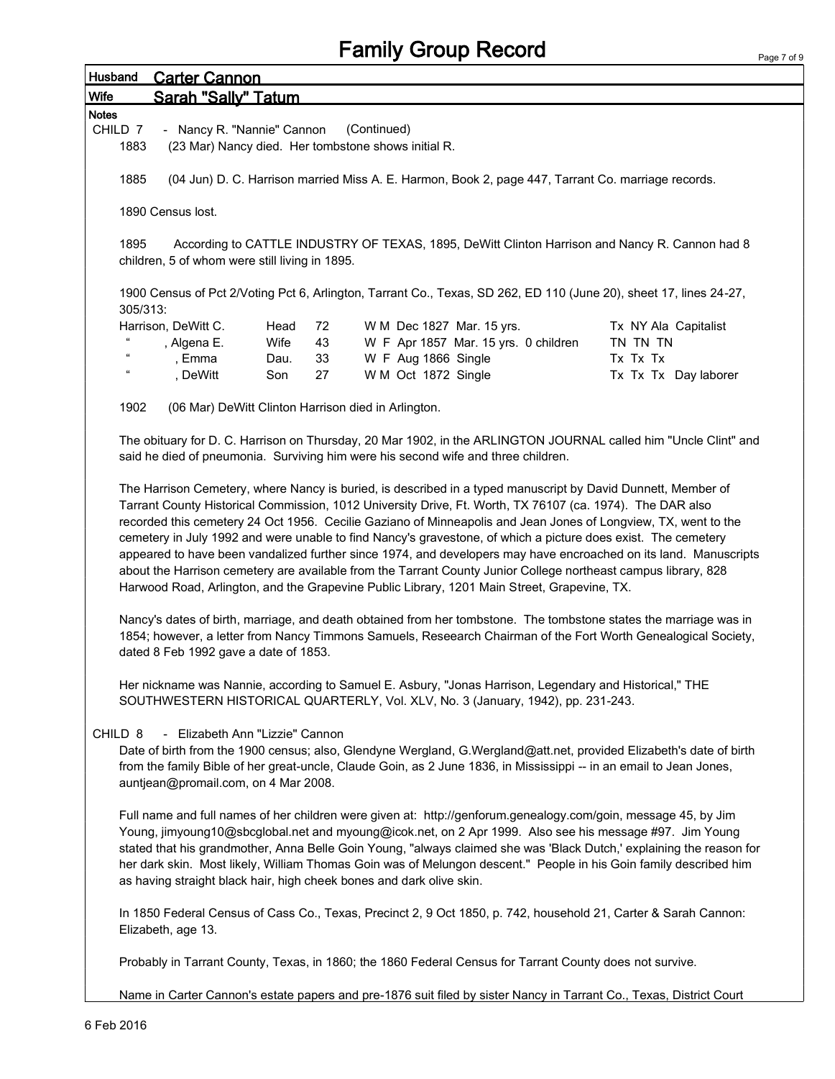## Family Group Record

| Husband                                                                                                                                                  | <b>Carter Cannon</b>                                                                                                                                                                                                                                                                                                                                                                                                                                                                                                                                                                                                                                                                                                                                                                                                                                                                                                                                                                                                                                                              |                      |  |  |  |  |  |  |  |
|----------------------------------------------------------------------------------------------------------------------------------------------------------|-----------------------------------------------------------------------------------------------------------------------------------------------------------------------------------------------------------------------------------------------------------------------------------------------------------------------------------------------------------------------------------------------------------------------------------------------------------------------------------------------------------------------------------------------------------------------------------------------------------------------------------------------------------------------------------------------------------------------------------------------------------------------------------------------------------------------------------------------------------------------------------------------------------------------------------------------------------------------------------------------------------------------------------------------------------------------------------|----------------------|--|--|--|--|--|--|--|
| Wife                                                                                                                                                     | Sarah "Sally" Tatum                                                                                                                                                                                                                                                                                                                                                                                                                                                                                                                                                                                                                                                                                                                                                                                                                                                                                                                                                                                                                                                               |                      |  |  |  |  |  |  |  |
| <b>Notes</b>                                                                                                                                             |                                                                                                                                                                                                                                                                                                                                                                                                                                                                                                                                                                                                                                                                                                                                                                                                                                                                                                                                                                                                                                                                                   |                      |  |  |  |  |  |  |  |
| CHILD 7                                                                                                                                                  | (Continued)<br>- Nancy R. "Nannie" Cannon                                                                                                                                                                                                                                                                                                                                                                                                                                                                                                                                                                                                                                                                                                                                                                                                                                                                                                                                                                                                                                         |                      |  |  |  |  |  |  |  |
| 1883                                                                                                                                                     | (23 Mar) Nancy died. Her tombstone shows initial R.                                                                                                                                                                                                                                                                                                                                                                                                                                                                                                                                                                                                                                                                                                                                                                                                                                                                                                                                                                                                                               |                      |  |  |  |  |  |  |  |
| 1885                                                                                                                                                     | (04 Jun) D. C. Harrison married Miss A. E. Harmon, Book 2, page 447, Tarrant Co. marriage records.                                                                                                                                                                                                                                                                                                                                                                                                                                                                                                                                                                                                                                                                                                                                                                                                                                                                                                                                                                                |                      |  |  |  |  |  |  |  |
|                                                                                                                                                          | 1890 Census lost.                                                                                                                                                                                                                                                                                                                                                                                                                                                                                                                                                                                                                                                                                                                                                                                                                                                                                                                                                                                                                                                                 |                      |  |  |  |  |  |  |  |
| 1895<br>According to CATTLE INDUSTRY OF TEXAS, 1895, DeWitt Clinton Harrison and Nancy R. Cannon had 8<br>children, 5 of whom were still living in 1895. |                                                                                                                                                                                                                                                                                                                                                                                                                                                                                                                                                                                                                                                                                                                                                                                                                                                                                                                                                                                                                                                                                   |                      |  |  |  |  |  |  |  |
| 305/313:                                                                                                                                                 | 1900 Census of Pct 2/Voting Pct 6, Arlington, Tarrant Co., Texas, SD 262, ED 110 (June 20), sheet 17, lines 24-27,                                                                                                                                                                                                                                                                                                                                                                                                                                                                                                                                                                                                                                                                                                                                                                                                                                                                                                                                                                |                      |  |  |  |  |  |  |  |
|                                                                                                                                                          | Harrison, DeWitt C.<br>Head<br>72<br>W M Dec 1827 Mar. 15 yrs.                                                                                                                                                                                                                                                                                                                                                                                                                                                                                                                                                                                                                                                                                                                                                                                                                                                                                                                                                                                                                    | Tx NY Ala Capitalist |  |  |  |  |  |  |  |
|                                                                                                                                                          | W F Apr 1857 Mar. 15 yrs. 0 children<br>, Algena E.<br>Wife<br>43                                                                                                                                                                                                                                                                                                                                                                                                                                                                                                                                                                                                                                                                                                                                                                                                                                                                                                                                                                                                                 | TN TN TN             |  |  |  |  |  |  |  |
| $\mathfrak{c}\mathfrak{c}$                                                                                                                               | W F Aug 1866 Single<br>, Emma<br>33<br>Dau.                                                                                                                                                                                                                                                                                                                                                                                                                                                                                                                                                                                                                                                                                                                                                                                                                                                                                                                                                                                                                                       | Tx Tx Tx             |  |  |  |  |  |  |  |
| $\epsilon$                                                                                                                                               | , DeWitt<br>W M Oct 1872 Single<br>Son<br>27                                                                                                                                                                                                                                                                                                                                                                                                                                                                                                                                                                                                                                                                                                                                                                                                                                                                                                                                                                                                                                      | Tx Tx Tx Day laborer |  |  |  |  |  |  |  |
|                                                                                                                                                          |                                                                                                                                                                                                                                                                                                                                                                                                                                                                                                                                                                                                                                                                                                                                                                                                                                                                                                                                                                                                                                                                                   |                      |  |  |  |  |  |  |  |
| 1902                                                                                                                                                     | (06 Mar) DeWitt Clinton Harrison died in Arlington.                                                                                                                                                                                                                                                                                                                                                                                                                                                                                                                                                                                                                                                                                                                                                                                                                                                                                                                                                                                                                               |                      |  |  |  |  |  |  |  |
|                                                                                                                                                          | The obituary for D. C. Harrison on Thursday, 20 Mar 1902, in the ARLINGTON JOURNAL called him "Uncle Clint" and<br>said he died of pneumonia. Surviving him were his second wife and three children.                                                                                                                                                                                                                                                                                                                                                                                                                                                                                                                                                                                                                                                                                                                                                                                                                                                                              |                      |  |  |  |  |  |  |  |
|                                                                                                                                                          | The Harrison Cemetery, where Nancy is buried, is described in a typed manuscript by David Dunnett, Member of<br>Tarrant County Historical Commission, 1012 University Drive, Ft. Worth, TX 76107 (ca. 1974). The DAR also<br>recorded this cemetery 24 Oct 1956. Cecilie Gaziano of Minneapolis and Jean Jones of Longview, TX, went to the<br>cemetery in July 1992 and were unable to find Nancy's gravestone, of which a picture does exist. The cemetery<br>appeared to have been vandalized further since 1974, and developers may have encroached on its land. Manuscripts<br>about the Harrison cemetery are available from the Tarrant County Junior College northeast campus library, 828<br>Harwood Road, Arlington, and the Grapevine Public Library, 1201 Main Street, Grapevine, TX.<br>Nancy's dates of birth, marriage, and death obtained from her tombstone. The tombstone states the marriage was in<br>1854; however, a letter from Nancy Timmons Samuels, Reseearch Chairman of the Fort Worth Genealogical Society,<br>dated 8 Feb 1992 gave a date of 1853. |                      |  |  |  |  |  |  |  |
|                                                                                                                                                          | Her nickname was Nannie, according to Samuel E. Asbury, "Jonas Harrison, Legendary and Historical," THE<br>SOUTHWESTERN HISTORICAL QUARTERLY, Vol. XLV, No. 3 (January, 1942), pp. 231-243.                                                                                                                                                                                                                                                                                                                                                                                                                                                                                                                                                                                                                                                                                                                                                                                                                                                                                       |                      |  |  |  |  |  |  |  |
| CHILD <sub>8</sub>                                                                                                                                       | - Elizabeth Ann "Lizzie" Cannon<br>Date of birth from the 1900 census; also, Glendyne Wergland, G.Wergland@att.net, provided Elizabeth's date of birth<br>from the family Bible of her great-uncle, Claude Goin, as 2 June 1836, in Mississippi -- in an email to Jean Jones,<br>auntjean@promail.com, on 4 Mar 2008.                                                                                                                                                                                                                                                                                                                                                                                                                                                                                                                                                                                                                                                                                                                                                             |                      |  |  |  |  |  |  |  |
|                                                                                                                                                          | Full name and full names of her children were given at: http://genforum.genealogy.com/goin, message 45, by Jim<br>Young, jimyoung10@sbcglobal.net and myoung@icok.net, on 2 Apr 1999. Also see his message #97. Jim Young<br>stated that his grandmother, Anna Belle Goin Young, "always claimed she was 'Black Dutch,' explaining the reason for<br>her dark skin. Most likely, William Thomas Goin was of Melungon descent." People in his Goin family described him<br>as having straight black hair, high cheek bones and dark olive skin.                                                                                                                                                                                                                                                                                                                                                                                                                                                                                                                                    |                      |  |  |  |  |  |  |  |
|                                                                                                                                                          | In 1850 Federal Census of Cass Co., Texas, Precinct 2, 9 Oct 1850, p. 742, household 21, Carter & Sarah Cannon:<br>Elizabeth, age 13.                                                                                                                                                                                                                                                                                                                                                                                                                                                                                                                                                                                                                                                                                                                                                                                                                                                                                                                                             |                      |  |  |  |  |  |  |  |
|                                                                                                                                                          | Probably in Tarrant County, Texas, in 1860; the 1860 Federal Census for Tarrant County does not survive.                                                                                                                                                                                                                                                                                                                                                                                                                                                                                                                                                                                                                                                                                                                                                                                                                                                                                                                                                                          |                      |  |  |  |  |  |  |  |
|                                                                                                                                                          | Name in Carter Cannon's estate papers and pre-1876 suit filed by sister Nancy in Tarrant Co., Texas, District Court                                                                                                                                                                                                                                                                                                                                                                                                                                                                                                                                                                                                                                                                                                                                                                                                                                                                                                                                                               |                      |  |  |  |  |  |  |  |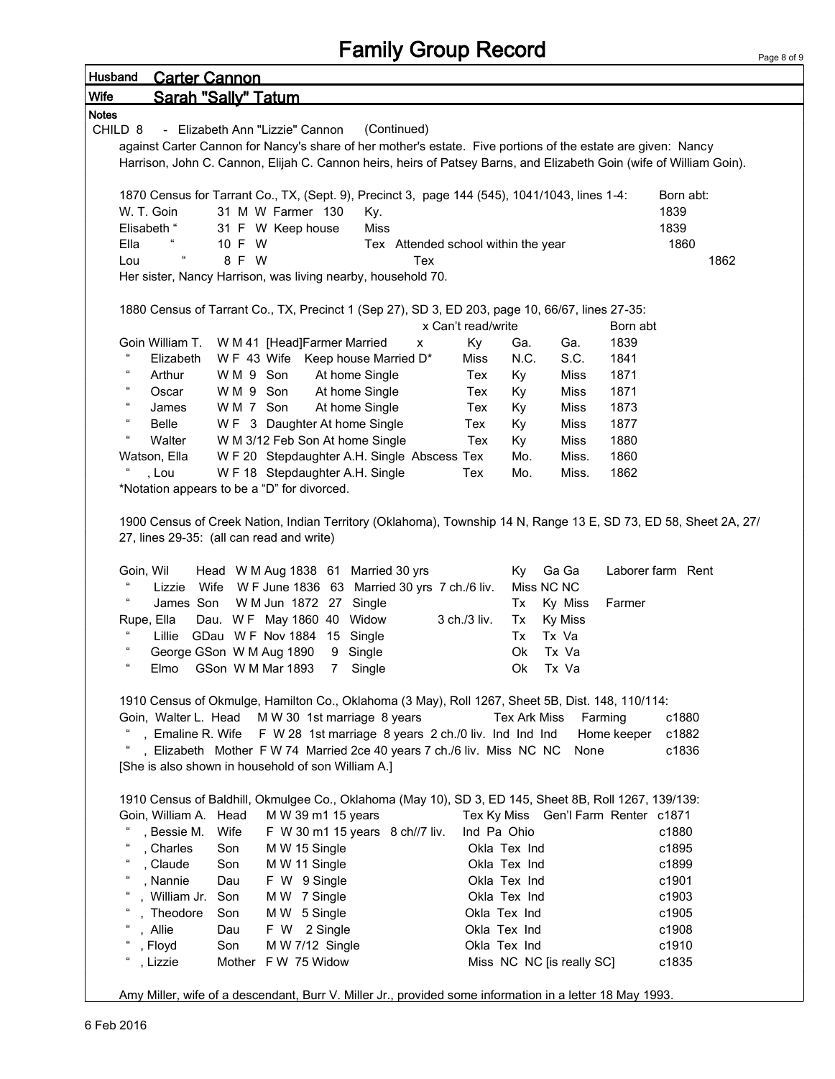# Family Group Record

| Husband                    | <b>Carter Cannon</b>                        |                     |                                                                                                                     |                                     |                    |              |                           |                                     |                   |  |
|----------------------------|---------------------------------------------|---------------------|---------------------------------------------------------------------------------------------------------------------|-------------------------------------|--------------------|--------------|---------------------------|-------------------------------------|-------------------|--|
| Wife                       |                                             | Sarah "Sally" Tatum |                                                                                                                     |                                     |                    |              |                           |                                     |                   |  |
| <b>Notes</b>               |                                             |                     |                                                                                                                     |                                     |                    |              |                           |                                     |                   |  |
| CHILD <sub>8</sub>         |                                             |                     | - Elizabeth Ann "Lizzie" Cannon                                                                                     | (Continued)                         |                    |              |                           |                                     |                   |  |
|                            |                                             |                     | against Carter Cannon for Nancy's share of her mother's estate. Five portions of the estate are given: Nancy        |                                     |                    |              |                           |                                     |                   |  |
|                            |                                             |                     | Harrison, John C. Cannon, Elijah C. Cannon heirs, heirs of Patsey Barns, and Elizabeth Goin (wife of William Goin). |                                     |                    |              |                           |                                     |                   |  |
|                            |                                             |                     | 1870 Census for Tarrant Co., TX, (Sept. 9), Precinct 3, page 144 (545), 1041/1043, lines 1-4:                       |                                     |                    |              |                           |                                     | Born abt:         |  |
|                            | W. T. Goin                                  |                     | 31 M W Farmer 130                                                                                                   | Ky.                                 |                    |              |                           |                                     | 1839              |  |
|                            | Elisabeth "                                 |                     | 31 F W Keep house                                                                                                   | Miss                                |                    |              |                           |                                     | 1839              |  |
| Ella                       |                                             | 10 F W              |                                                                                                                     | Tex Attended school within the year |                    |              |                           |                                     | 1860              |  |
| Lou                        |                                             | 8 F W               |                                                                                                                     | Tex                                 |                    |              |                           |                                     | 1862              |  |
|                            |                                             |                     | Her sister, Nancy Harrison, was living nearby, household 70.                                                        |                                     |                    |              |                           |                                     |                   |  |
|                            |                                             |                     |                                                                                                                     |                                     |                    |              |                           |                                     |                   |  |
|                            |                                             |                     | 1880 Census of Tarrant Co., TX, Precinct 1 (Sep 27), SD 3, ED 203, page 10, 66/67, lines 27-35:                     |                                     |                    |              |                           |                                     |                   |  |
|                            |                                             |                     |                                                                                                                     |                                     | x Can't read/write |              |                           | Born abt                            |                   |  |
| $\epsilon$                 | Goin William T.<br>Elizabeth                |                     | W M 41 [Head]Farmer Married<br>W F 43 Wife Keep house Married D*                                                    | x                                   | Ky<br>Miss         | Ga.<br>N.C.  | Ga.<br>S.C.               | 1839<br>1841                        |                   |  |
| $\epsilon$                 | Arthur                                      | WM 9 Son            | At home Single                                                                                                      |                                     | Tex                | Ky           | Miss                      | 1871                                |                   |  |
| $\epsilon$                 | Oscar                                       | WM 9 Son            | At home Single                                                                                                      |                                     | Tex                | Ky           | Miss                      | 1871                                |                   |  |
| $\epsilon$                 | James                                       | WM 7 Son            | At home Single                                                                                                      |                                     | Tex                | Ky           | Miss                      | 1873                                |                   |  |
| $\epsilon$                 | Belle                                       |                     | W F 3 Daughter At home Single                                                                                       |                                     | Tex                | Ky           | Miss                      | 1877                                |                   |  |
| $\epsilon$                 | Walter                                      |                     | W M 3/12 Feb Son At home Single                                                                                     |                                     | Tex                | Ky           | Miss                      | 1880                                |                   |  |
|                            | Watson, Ella                                |                     | W F 20 Stepdaughter A.H. Single Abscess Tex                                                                         |                                     |                    | Mo.          | Miss.                     | 1860                                |                   |  |
|                            | , Lou                                       |                     | W F 18 Stepdaughter A.H. Single                                                                                     |                                     | Tex                | Mo.          | Miss.                     | 1862                                |                   |  |
|                            | *Notation appears to be a "D" for divorced. |                     |                                                                                                                     |                                     |                    |              |                           |                                     |                   |  |
|                            | 27, lines 29-35: (all can read and write)   |                     | 1900 Census of Creek Nation, Indian Territory (Oklahoma), Township 14 N, Range 13 E, SD 73, ED 58, Sheet 2A, 27/    |                                     |                    |              |                           |                                     |                   |  |
|                            | Goin, Wil                                   |                     | Head W M Aug 1838 61                                                                                                | Married 30 yrs                      |                    | Ky           | Ga Ga                     |                                     | Laborer farm Rent |  |
|                            | Lizzie                                      | Wife                | W F June 1836 63 Married 30 yrs 7 ch./6 liv.                                                                        |                                     |                    | Miss NC NC   |                           |                                     |                   |  |
| $\epsilon$                 | James Son                                   |                     | W M Jun 1872 27 Single                                                                                              |                                     |                    | Tx           | Ky Miss                   | Farmer                              |                   |  |
|                            | Rupe, Ella                                  |                     | Dau. WF May 1860 40 Widow                                                                                           |                                     | 3 ch./3 liv.       | Tx           | <b>Ky Miss</b>            |                                     |                   |  |
| $\epsilon$                 | Lillie<br>George GSon W M Aug 1890          |                     | GDau WF Nov 1884 15 Single<br>9                                                                                     | Single                              |                    | Tx<br>Ok     | Tx Va<br>Tx Va            |                                     |                   |  |
| $\epsilon$                 | Elmo                                        | GSon W M Mar 1893   | $7^{\circ}$                                                                                                         | Single                              |                    | Ok           | Tx Va                     |                                     |                   |  |
|                            |                                             |                     |                                                                                                                     |                                     |                    |              |                           |                                     |                   |  |
|                            |                                             |                     | 1910 Census of Okmulge, Hamilton Co., Oklahoma (3 May), Roll 1267, Sheet 5B, Dist. 148, 110/114:                    |                                     |                    |              |                           |                                     |                   |  |
|                            | Goin, Walter L. Head                        |                     | M W 30 1st marriage 8 years                                                                                         |                                     |                    | Tex Ark Miss |                           | Farming                             | c1880             |  |
|                            |                                             |                     | , Emaline R. Wife F W 28 1st marriage 8 years 2 ch./0 liv. Ind Ind Ind                                              |                                     |                    |              |                           | Home keeper                         | c1882             |  |
|                            |                                             |                     | , Elizabeth Mother F W 74 Married 2ce 40 years 7 ch./6 liv. Miss NC NC                                              |                                     |                    |              | None                      |                                     | c1836             |  |
|                            |                                             |                     | [She is also shown in household of son William A.]                                                                  |                                     |                    |              |                           |                                     |                   |  |
|                            |                                             |                     | 1910 Census of Baldhill, Okmulgee Co., Oklahoma (May 10), SD 3, ED 145, Sheet 8B, Roll 1267, 139/139:               |                                     |                    |              |                           |                                     |                   |  |
|                            | Goin, William A. Head                       |                     | M W 39 m1 15 years                                                                                                  |                                     |                    |              |                           | Tex Ky Miss Gen'l Farm Renter c1871 |                   |  |
|                            | , Bessie M.                                 | Wife                | F W 30 m1 15 years 8 ch//7 liv.                                                                                     |                                     | Ind Pa Ohio        |              |                           |                                     | c1880             |  |
| $\epsilon$                 | , Charles                                   | Son                 | M W 15 Single                                                                                                       |                                     | Okla Tex Ind       |              |                           |                                     | c1895             |  |
| $\epsilon$                 | , Claude                                    | Son                 | M W 11 Single                                                                                                       |                                     | Okla Tex Ind       |              |                           |                                     | c1899             |  |
| $\mathfrak{c}\mathfrak{c}$ | , Nannie                                    | Dau                 | F W 9 Single                                                                                                        |                                     | Okla Tex Ind       |              |                           |                                     | c1901             |  |
| $\epsilon$                 | , William Jr.                               | Son                 | M W 7 Single                                                                                                        |                                     | Okla Tex Ind       |              |                           |                                     | c1903             |  |
|                            | , Theodore                                  | Son                 | MW 5 Single                                                                                                         |                                     | Okla Tex Ind       |              |                           |                                     | c1905             |  |
|                            | , Allie                                     | Dau                 | F W 2 Single                                                                                                        |                                     | Okla Tex Ind       |              |                           |                                     | c1908             |  |
|                            | , Floyd                                     | Son                 | M W 7/12 Single                                                                                                     |                                     | Okla Tex Ind       |              |                           |                                     | c1910             |  |
|                            | , Lizzie                                    |                     | Mother F W 75 Widow                                                                                                 |                                     |                    |              | Miss NC NC [is really SC] |                                     | c1835             |  |
|                            |                                             |                     | Amy Miller, wife of a descendant, Burr V. Miller Jr., provided some information in a letter 18 May 1993.            |                                     |                    |              |                           |                                     |                   |  |